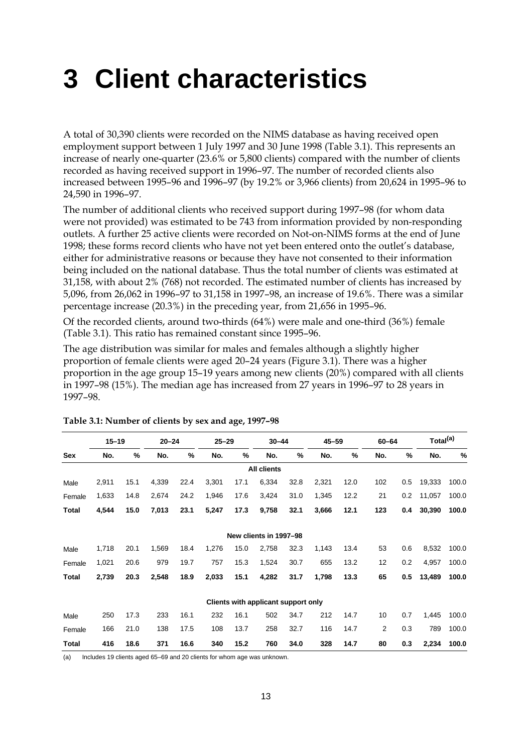## **3 Client characteristics**

A total of 30,390 clients were recorded on the NIMS database as having received open employment support between 1 July 1997 and 30 June 1998 (Table 3.1). This represents an increase of nearly one-quarter (23.6% or 5,800 clients) compared with the number of clients recorded as having received support in 1996–97. The number of recorded clients also increased between 1995–96 and 1996–97 (by 19.2% or 3,966 clients) from 20,624 in 1995–96 to 24,590 in 1996–97.

The number of additional clients who received support during 1997–98 (for whom data were not provided) was estimated to be 743 from information provided by non-responding outlets. A further 25 active clients were recorded on Not-on-NIMS forms at the end of June 1998; these forms record clients who have not yet been entered onto the outlet's database, either for administrative reasons or because they have not consented to their information being included on the national database. Thus the total number of clients was estimated at 31,158, with about 2% (768) not recorded. The estimated number of clients has increased by 5,096, from 26,062 in 1996–97 to 31,158 in 1997–98, an increase of 19.6%. There was a similar percentage increase (20.3%) in the preceding year, from 21,656 in 1995–96.

Of the recorded clients, around two-thirds (64%) were male and one-third (36%) female (Table 3.1). This ratio has remained constant since 1995–96.

The age distribution was similar for males and females although a slightly higher proportion of female clients were aged 20–24 years (Figure 3.1). There was a higher proportion in the age group 15–19 years among new clients (20%) compared with all clients in 1997–98 (15%). The median age has increased from 27 years in 1996–97 to 28 years in 1997–98.

|        | $15 - 19$ |      | $20 - 24$ |      | $25 - 29$ |      | $30 - 44$                           |      | $45 - 59$ |      | $60 - 64$      |     | Total <sup>(a)</sup> |       |
|--------|-----------|------|-----------|------|-----------|------|-------------------------------------|------|-----------|------|----------------|-----|----------------------|-------|
| Sex    | No.       | %    | No.       | %    | No.       | %    | No.                                 | %    | No.       | %    | No.            | %   | No.                  | %     |
|        |           |      |           |      |           |      | <b>All clients</b>                  |      |           |      |                |     |                      |       |
| Male   | 2,911     | 15.1 | 4,339     | 22.4 | 3,301     | 17.1 | 6,334                               | 32.8 | 2,321     | 12.0 | 102            | 0.5 | 19,333               | 100.0 |
| Female | 1,633     | 14.8 | 2,674     | 24.2 | 1,946     | 17.6 | 3,424                               | 31.0 | 1,345     | 12.2 | 21             | 0.2 | 11,057               | 100.0 |
| Total  | 4,544     | 15.0 | 7,013     | 23.1 | 5,247     | 17.3 | 9,758                               | 32.1 | 3,666     | 12.1 | 123            | 0.4 | 30,390               | 100.0 |
|        |           |      |           |      |           |      | New clients in 1997-98              |      |           |      |                |     |                      |       |
| Male   | 1,718     | 20.1 | 1,569     | 18.4 | 1,276     | 15.0 | 2,758                               | 32.3 | 1,143     | 13.4 | 53             | 0.6 | 8,532                | 100.0 |
| Female | 1,021     | 20.6 | 979       | 19.7 | 757       | 15.3 | 1,524                               | 30.7 | 655       | 13.2 | 12             | 0.2 | 4,957                | 100.0 |
| Total  | 2,739     | 20.3 | 2,548     | 18.9 | 2,033     | 15.1 | 4,282                               | 31.7 | 1,798     | 13.3 | 65             | 0.5 | 13,489               | 100.0 |
|        |           |      |           |      |           |      | Clients with applicant support only |      |           |      |                |     |                      |       |
| Male   | 250       | 17.3 | 233       | 16.1 | 232       | 16.1 | 502                                 | 34.7 | 212       | 14.7 | 10             | 0.7 | 1,445                | 100.0 |
| Female | 166       | 21.0 | 138       | 17.5 | 108       | 13.7 | 258                                 | 32.7 | 116       | 14.7 | $\overline{2}$ | 0.3 | 789                  | 100.0 |
| Total  | 416       | 18.6 | 371       | 16.6 | 340       | 15.2 | 760                                 | 34.0 | 328       | 14.7 | 80             | 0.3 | 2,234                | 100.0 |

**Table 3.1: Number of clients by sex and age, 1997–98**

(a) Includes 19 clients aged 65–69 and 20 clients for whom age was unknown.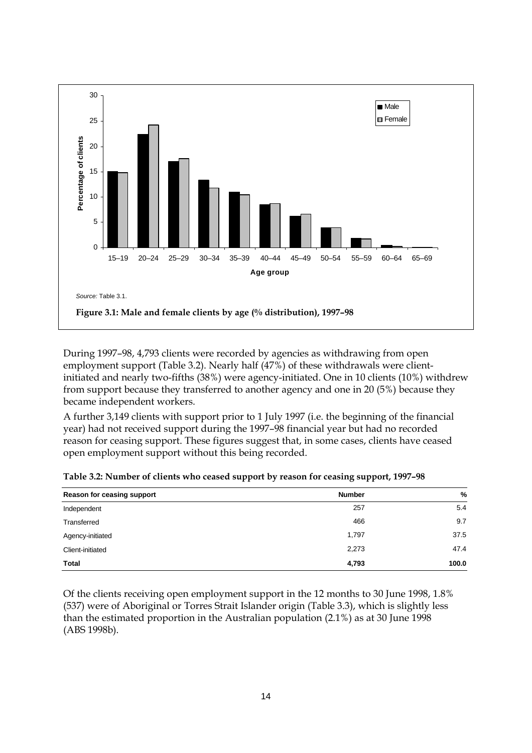

During 1997–98, 4,793 clients were recorded by agencies as withdrawing from open employment support (Table 3.2). Nearly half (47%) of these withdrawals were clientinitiated and nearly two-fifths (38%) were agency-initiated. One in 10 clients (10%) withdrew from support because they transferred to another agency and one in 20 (5%) because they became independent workers.

A further 3,149 clients with support prior to 1 July 1997 (i.e. the beginning of the financial year) had not received support during the 1997–98 financial year but had no recorded reason for ceasing support. These figures suggest that, in some cases, clients have ceased open employment support without this being recorded.

| Reason for ceasing support | <b>Number</b> | $\frac{9}{6}$ |
|----------------------------|---------------|---------------|
| Independent                | 257           | 5.4           |
| Transferred                | 466           | 9.7           |
| Agency-initiated           | 1,797         | 37.5          |
| Client-initiated           | 2,273         | 47.4          |
| Total                      | 4,793         | 100.0         |

**Table 3.2: Number of clients who ceased support by reason for ceasing support, 1997–98**

Of the clients receiving open employment support in the 12 months to 30 June 1998, 1.8% (537) were of Aboriginal or Torres Strait Islander origin (Table 3.3), which is slightly less than the estimated proportion in the Australian population (2.1%) as at 30 June 1998 (ABS 1998b).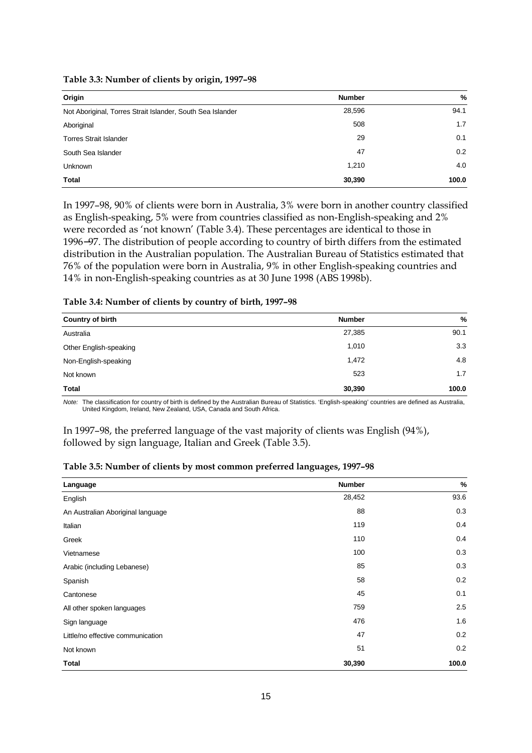| Origin                                                     | <b>Number</b> | %     |
|------------------------------------------------------------|---------------|-------|
| Not Aboriginal, Torres Strait Islander, South Sea Islander | 28,596        | 94.1  |
| Aboriginal                                                 | 508           | 1.7   |
| <b>Torres Strait Islander</b>                              | 29            | 0.1   |
| South Sea Islander                                         | 47            | 0.2   |
| <b>Unknown</b>                                             | 1,210         | 4.0   |
| <b>Total</b>                                               | 30,390        | 100.0 |

**Table 3.3: Number of clients by origin, 1997–98**

In 1997–98, 90% of clients were born in Australia, 3% were born in another country classified as English-speaking, 5% were from countries classified as non-English-speaking and 2% were recorded as 'not known' (Table 3.4). These percentages are identical to those in 1996−97. The distribution of people according to country of birth differs from the estimated distribution in the Australian population. The Australian Bureau of Statistics estimated that 76% of the population were born in Australia, 9% in other English-speaking countries and 14% in non-English-speaking countries as at 30 June 1998 (ABS 1998b).

## **Table 3.4: Number of clients by country of birth, 1997–98**

| <b>Country of birth</b> | <b>Number</b> | %     |
|-------------------------|---------------|-------|
| Australia               | 27,385        | 90.1  |
| Other English-speaking  | 1,010         | 3.3   |
| Non-English-speaking    | 1,472         | 4.8   |
| Not known               | 523           | 1.7   |
| Total                   | 30,390        | 100.0 |

*Note:* The classification for country of birth is defined by the Australian Bureau of Statistics. 'English-speaking' countries are defined as Australia, United Kingdom, Ireland, New Zealand, USA, Canada and South Africa.

In 1997–98, the preferred language of the vast majority of clients was English (94%), followed by sign language, Italian and Greek (Table 3.5).

| Table 3.5: Number of clients by most common preferred languages, 1997-98 |  |  |  |
|--------------------------------------------------------------------------|--|--|--|
|--------------------------------------------------------------------------|--|--|--|

| Language                          | <b>Number</b> | %     |
|-----------------------------------|---------------|-------|
| English                           | 28,452        | 93.6  |
| An Australian Aboriginal language | 88            | 0.3   |
| Italian                           | 119           | 0.4   |
| Greek                             | 110           | 0.4   |
| Vietnamese                        | 100           | 0.3   |
| Arabic (including Lebanese)       | 85            | 0.3   |
| Spanish                           | 58            | 0.2   |
| Cantonese                         | 45            | 0.1   |
| All other spoken languages        | 759           | 2.5   |
| Sign language                     | 476           | 1.6   |
| Little/no effective communication | 47            | 0.2   |
| Not known                         | 51            | 0.2   |
| Total                             | 30,390        | 100.0 |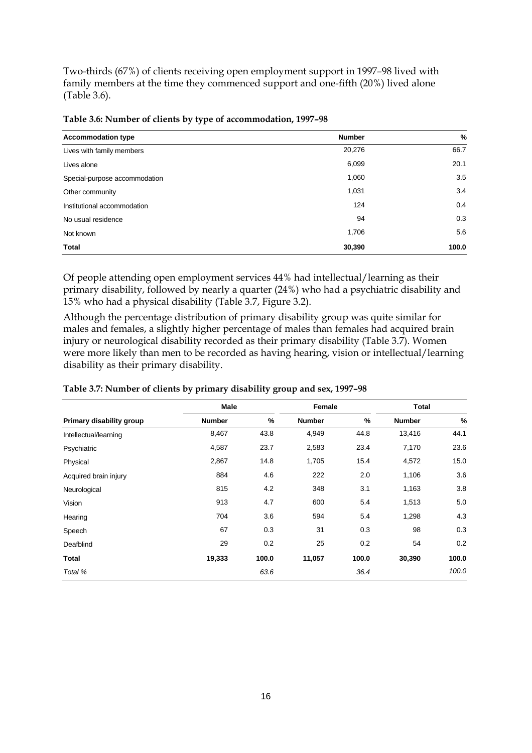Two-thirds (67%) of clients receiving open employment support in 1997–98 lived with family members at the time they commenced support and one-fifth (20%) lived alone (Table 3.6).

| <b>Accommodation type</b>     | <b>Number</b> | $\%$  |
|-------------------------------|---------------|-------|
| Lives with family members     | 20,276        | 66.7  |
| Lives alone                   | 6,099         | 20.1  |
| Special-purpose accommodation | 1,060         | 3.5   |
| Other community               | 1,031         | 3.4   |
| Institutional accommodation   | 124           | 0.4   |
| No usual residence            | 94            | 0.3   |
| Not known                     | 1,706         | 5.6   |
| <b>Total</b>                  | 30,390        | 100.0 |

**Table 3.6: Number of clients by type of accommodation, 1997–98**

Of people attending open employment services 44% had intellectual/learning as their primary disability, followed by nearly a quarter (24%) who had a psychiatric disability and 15% who had a physical disability (Table 3.7, Figure 3.2).

Although the percentage distribution of primary disability group was quite similar for males and females, a slightly higher percentage of males than females had acquired brain injury or neurological disability recorded as their primary disability (Table 3.7). Women were more likely than men to be recorded as having hearing, vision or intellectual/learning disability as their primary disability.

|                          | <b>Male</b>   | Female |               |       | <b>Total</b>  |               |
|--------------------------|---------------|--------|---------------|-------|---------------|---------------|
| Primary disability group | <b>Number</b> | $\%$   | <b>Number</b> | %     | <b>Number</b> | $\frac{0}{0}$ |
| Intellectual/learning    | 8,467         | 43.8   | 4,949         | 44.8  | 13,416        | 44.1          |
| Psychiatric              | 4,587         | 23.7   | 2,583         | 23.4  | 7,170         | 23.6          |
| Physical                 | 2,867         | 14.8   | 1,705         | 15.4  | 4,572         | 15.0          |
| Acquired brain injury    | 884           | 4.6    | 222           | 2.0   | 1,106         | 3.6           |
| Neurological             | 815           | 4.2    | 348           | 3.1   | 1,163         | 3.8           |
| Vision                   | 913           | 4.7    | 600           | 5.4   | 1,513         | 5.0           |
| Hearing                  | 704           | 3.6    | 594           | 5.4   | 1,298         | 4.3           |
| Speech                   | 67            | 0.3    | 31            | 0.3   | 98            | 0.3           |
| Deafblind                | 29            | 0.2    | 25            | 0.2   | 54            | 0.2           |
| Total                    | 19,333        | 100.0  | 11,057        | 100.0 | 30,390        | 100.0         |
| Total %                  |               | 63.6   |               | 36.4  |               | 100.0         |

## **Table 3.7: Number of clients by primary disability group and sex, 1997–98**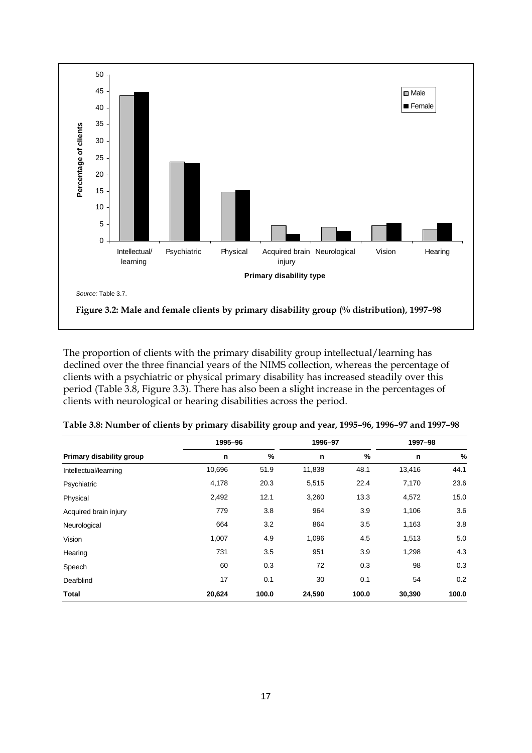

The proportion of clients with the primary disability group intellectual/learning has declined over the three financial years of the NIMS collection, whereas the percentage of clients with a psychiatric or physical primary disability has increased steadily over this period (Table 3.8, Figure 3.3). There has also been a slight increase in the percentages of clients with neurological or hearing disabilities across the period.

|                          | 1995-96 |       | 1996-97 |       | 1997-98 |               |
|--------------------------|---------|-------|---------|-------|---------|---------------|
| Primary disability group | n       | %     | n       | %     | n       | $\frac{0}{0}$ |
| Intellectual/learning    | 10,696  | 51.9  | 11,838  | 48.1  | 13,416  | 44.1          |
| Psychiatric              | 4,178   | 20.3  | 5,515   | 22.4  | 7,170   | 23.6          |
| Physical                 | 2,492   | 12.1  | 3,260   | 13.3  | 4,572   | 15.0          |
| Acquired brain injury    | 779     | 3.8   | 964     | 3.9   | 1,106   | 3.6           |
| Neurological             | 664     | 3.2   | 864     | 3.5   | 1,163   | 3.8           |
| Vision                   | 1,007   | 4.9   | 1,096   | 4.5   | 1,513   | 5.0           |
| Hearing                  | 731     | 3.5   | 951     | 3.9   | 1,298   | 4.3           |
| Speech                   | 60      | 0.3   | 72      | 0.3   | 98      | 0.3           |
| Deafblind                | 17      | 0.1   | 30      | 0.1   | 54      | 0.2           |
| Total                    | 20,624  | 100.0 | 24,590  | 100.0 | 30,390  | 100.0         |

| Table 3.8: Number of clients by primary disability group and year, 1995–96, 1996–97 and 1997–98 |  |  |
|-------------------------------------------------------------------------------------------------|--|--|
|                                                                                                 |  |  |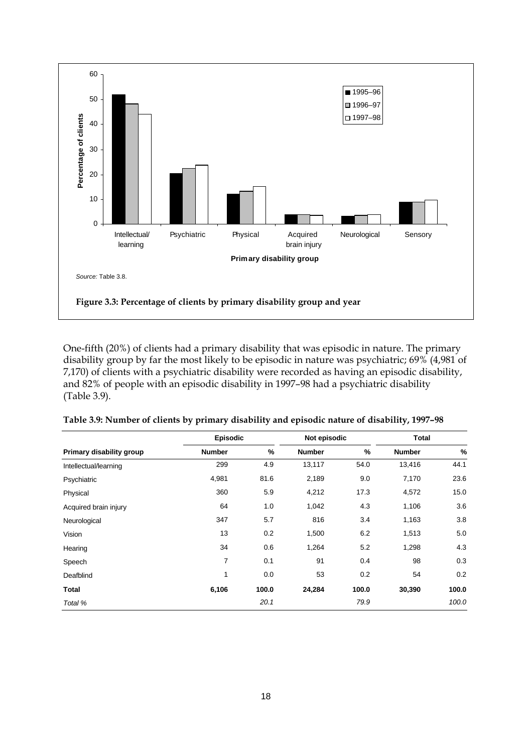

One-fifth (20%) of clients had a primary disability that was episodic in nature. The primary disability group by far the most likely to be episodic in nature was psychiatric; 69% (4,981 of 7,170) of clients with a psychiatric disability were recorded as having an episodic disability, and 82% of people with an episodic disability in 1997–98 had a psychiatric disability (Table 3.9).

|                          | <b>Episodic</b> |       | Not episodic  |               | <b>Total</b>  |       |
|--------------------------|-----------------|-------|---------------|---------------|---------------|-------|
| Primary disability group | <b>Number</b>   | %     | <b>Number</b> | $\frac{9}{6}$ | <b>Number</b> | %     |
| Intellectual/learning    | 299             | 4.9   | 13,117        | 54.0          | 13,416        | 44.1  |
| Psychiatric              | 4,981           | 81.6  | 2,189         | 9.0           | 7,170         | 23.6  |
| Physical                 | 360             | 5.9   | 4,212         | 17.3          | 4,572         | 15.0  |
| Acquired brain injury    | 64              | 1.0   | 1,042         | 4.3           | 1,106         | 3.6   |
| Neurological             | 347             | 5.7   | 816           | 3.4           | 1,163         | 3.8   |
| Vision                   | 13              | 0.2   | 1,500         | 6.2           | 1,513         | 5.0   |
| Hearing                  | 34              | 0.6   | 1,264         | 5.2           | 1,298         | 4.3   |
| Speech                   | $\overline{7}$  | 0.1   | 91            | 0.4           | 98            | 0.3   |
| Deafblind                | 1               | 0.0   | 53            | 0.2           | 54            | 0.2   |
| Total                    | 6,106           | 100.0 | 24,284        | 100.0         | 30,390        | 100.0 |
| Total %                  |                 | 20.1  |               | 79.9          |               | 100.0 |

| Table 3.9: Number of clients by primary disability and episodic nature of disability, 1997-98 |  |  |
|-----------------------------------------------------------------------------------------------|--|--|
|                                                                                               |  |  |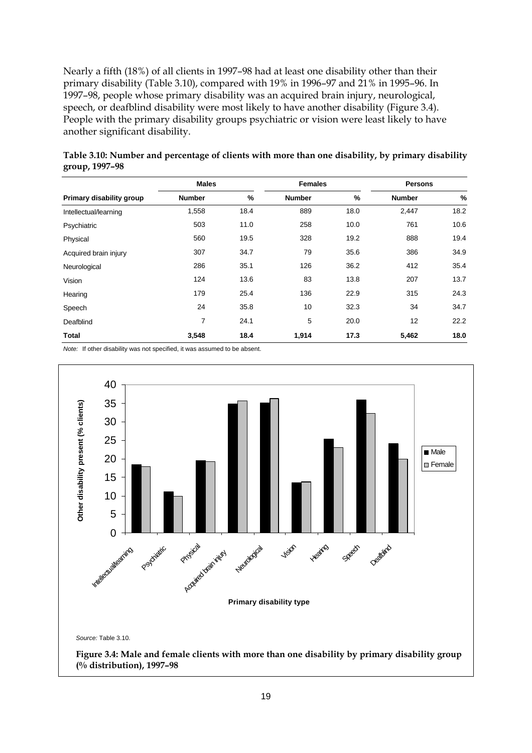Nearly a fifth (18%) of all clients in 1997–98 had at least one disability other than their primary disability (Table 3.10), compared with 19% in 1996–97 and 21% in 1995–96. In 1997–98, people whose primary disability was an acquired brain injury, neurological, speech, or deafblind disability were most likely to have another disability (Figure 3.4). People with the primary disability groups psychiatric or vision were least likely to have another significant disability.

|                          | <b>Males</b>  |      | <b>Females</b>  |      | <b>Persons</b> |      |
|--------------------------|---------------|------|-----------------|------|----------------|------|
| Primary disability group | <b>Number</b> | %    | <b>Number</b>   | %    | <b>Number</b>  | $\%$ |
| Intellectual/learning    | 1,558         | 18.4 | 889             | 18.0 | 2,447          | 18.2 |
| Psychiatric              | 503           | 11.0 | 258             | 10.0 | 761            | 10.6 |
| Physical                 | 560           | 19.5 | 328             | 19.2 | 888            | 19.4 |
| Acquired brain injury    | 307           | 34.7 | 79              | 35.6 | 386            | 34.9 |
| Neurological             | 286           | 35.1 | 126             | 36.2 | 412            | 35.4 |
| Vision                   | 124           | 13.6 | 83              | 13.8 | 207            | 13.7 |
| Hearing                  | 179           | 25.4 | 136             | 22.9 | 315            | 24.3 |
| Speech                   | 24            | 35.8 | 10 <sup>°</sup> | 32.3 | 34             | 34.7 |
| Deafblind                | 7             | 24.1 | 5               | 20.0 | 12             | 22.2 |
| Total                    | 3,548         | 18.4 | 1,914           | 17.3 | 5,462          | 18.0 |

| Table 3.10: Number and percentage of clients with more than one disability, by primary disability |  |  |  |
|---------------------------------------------------------------------------------------------------|--|--|--|
| group, 1997–98                                                                                    |  |  |  |

*Note:* If other disability was not specified, it was assumed to be absent.



**(% distribution), 1997–98**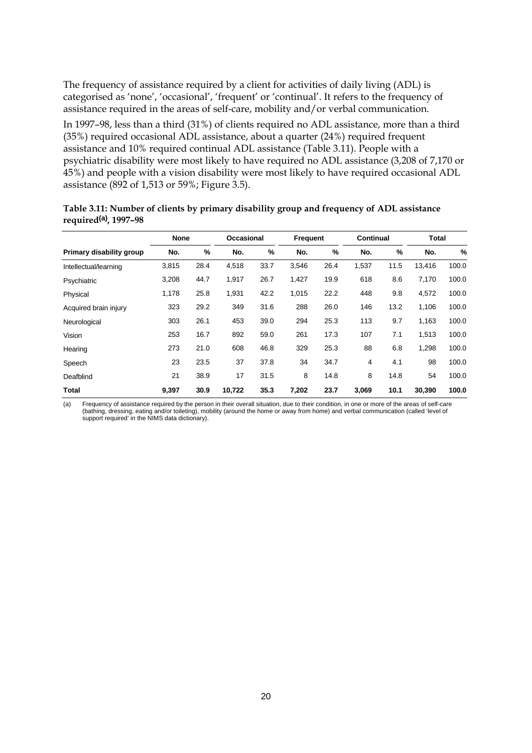The frequency of assistance required by a client for activities of daily living (ADL) is categorised as 'none', 'occasional', 'frequent' or 'continual'. It refers to the frequency of assistance required in the areas of self-care, mobility and/or verbal communication.

In 1997–98, less than a third (31%) of clients required no ADL assistance, more than a third (35%) required occasional ADL assistance, about a quarter (24%) required frequent assistance and 10% required continual ADL assistance (Table 3.11). People with a psychiatric disability were most likely to have required no ADL assistance (3,208 of 7,170 or 45%) and people with a vision disability were most likely to have required occasional ADL assistance (892 of 1,513 or 59%; Figure 3.5).

|                          | <b>None</b> |      | Occasional |      | <b>Frequent</b> |      | <b>Continual</b> |      | Total  |       |
|--------------------------|-------------|------|------------|------|-----------------|------|------------------|------|--------|-------|
| Primary disability group | No.         | %    | No.        | %    | No.             | %    | No.              | %    | No.    | %     |
| Intellectual/learning    | 3,815       | 28.4 | 4,518      | 33.7 | 3,546           | 26.4 | 1,537            | 11.5 | 13,416 | 100.0 |
| Psychiatric              | 3,208       | 44.7 | 1,917      | 26.7 | 1,427           | 19.9 | 618              | 8.6  | 7,170  | 100.0 |
| Physical                 | 1,178       | 25.8 | 1,931      | 42.2 | 1,015           | 22.2 | 448              | 9.8  | 4,572  | 100.0 |
| Acquired brain injury    | 323         | 29.2 | 349        | 31.6 | 288             | 26.0 | 146              | 13.2 | 1,106  | 100.0 |
| Neurological             | 303         | 26.1 | 453        | 39.0 | 294             | 25.3 | 113              | 9.7  | 1,163  | 100.0 |
| Vision                   | 253         | 16.7 | 892        | 59.0 | 261             | 17.3 | 107              | 7.1  | 1,513  | 100.0 |
| Hearing                  | 273         | 21.0 | 608        | 46.8 | 329             | 25.3 | 88               | 6.8  | 1,298  | 100.0 |
| Speech                   | 23          | 23.5 | 37         | 37.8 | 34              | 34.7 | 4                | 4.1  | 98     | 100.0 |
| Deafblind                | 21          | 38.9 | 17         | 31.5 | 8               | 14.8 | 8                | 14.8 | 54     | 100.0 |
| Total                    | 9,397       | 30.9 | 10,722     | 35.3 | 7,202           | 23.7 | 3,069            | 10.1 | 30,390 | 100.0 |

**Table 3.11: Number of clients by primary disability group and frequency of ADL assistance required(a), 1997–98**

a) Frequency of assistance required by the person in their overall situation, due to their condition, in one or more of the areas of self-care)<br>(bathing, dressing, eating and/or toileting), mobility (around the home or awa support required' in the NIMS data dictionary).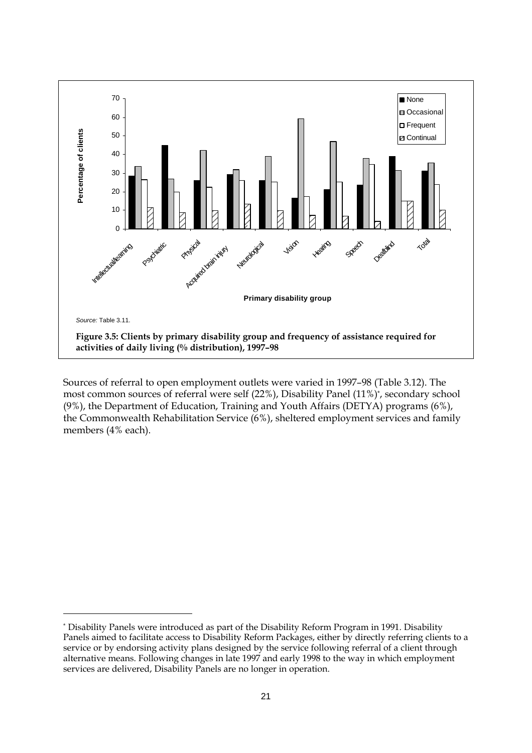

Sources of referral to open employment outlets were varied in 1997–98 (Table 3.12). The most common sources of referral were self (22%), Disability Panel (11%)\* , secondary school (9%), the Department of Education, Training and Youth Affairs (DETYA) programs (6%), the Commonwealth Rehabilitation Service (6%), sheltered employment services and family members (4% each).

 $\overline{a}$ 

<sup>\*</sup> Disability Panels were introduced as part of the Disability Reform Program in 1991. Disability Panels aimed to facilitate access to Disability Reform Packages, either by directly referring clients to a service or by endorsing activity plans designed by the service following referral of a client through alternative means. Following changes in late 1997 and early 1998 to the way in which employment services are delivered, Disability Panels are no longer in operation.